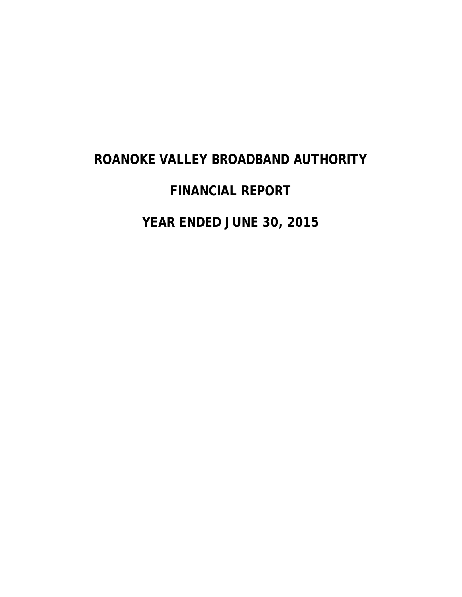# **ROANOKE VALLEY BROADBAND AUTHORITY**

# **FINANCIAL REPORT**

**YEAR ENDED JUNE 30, 2015**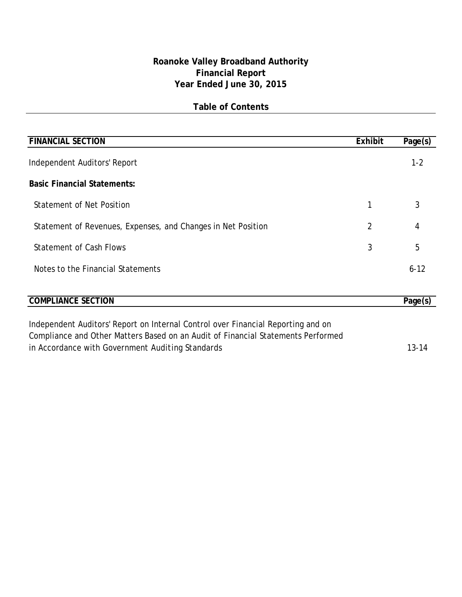# **Roanoke Valley Broadband Authority Financial Report Year Ended June 30, 2015**

# **Table of Contents**

| <b>FINANCIAL SECTION</b>                                     | Exhibit        | Page(s)  |
|--------------------------------------------------------------|----------------|----------|
| Independent Auditors' Report                                 |                | $1 - 2$  |
| <b>Basic Financial Statements:</b>                           |                |          |
| <b>Statement of Net Position</b>                             | 1              | 3        |
| Statement of Revenues, Expenses, and Changes in Net Position | $\overline{2}$ | 4        |
| <b>Statement of Cash Flows</b>                               | 3              | 5        |
| Notes to the Financial Statements                            |                | $6 - 12$ |
|                                                              |                |          |
| <b>COMPLIANCE SECTION</b>                                    |                | Page(s)  |
|                                                              |                |          |

Independent Auditors' Report on Internal Control over Financial Reporting and on Compliance and Other Matters Based on an Audit of Financial Statements Performed in Accordance with *Government Auditing Standards* 13-14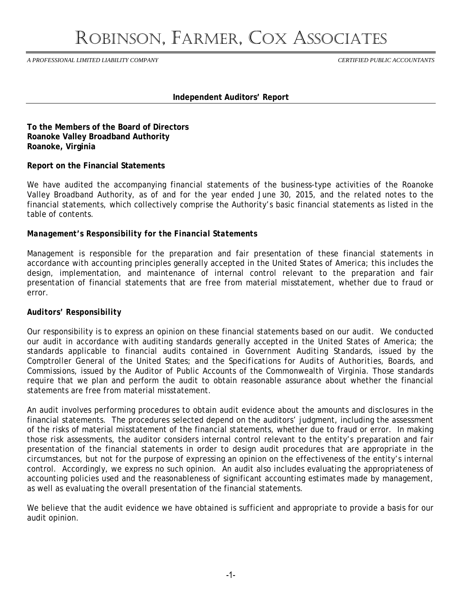ROBINSON, FARMER, COX ASSOCIATES

*A PROFESSIONAL LIMITED LIABILITY COMPANY CERTIFIED PUBLIC ACCOUNTANTS* 

#### **Independent Auditors' Report**

**To the Members of the Board of Directors Roanoke Valley Broadband Authority Roanoke, Virginia** 

#### **Report on the Financial Statements**

We have audited the accompanying financial statements of the business-type activities of the Roanoke Valley Broadband Authority, as of and for the year ended June 30, 2015, and the related notes to the financial statements, which collectively comprise the Authority's basic financial statements as listed in the table of contents.

#### *Management's Responsibility for the Financial Statements*

Management is responsible for the preparation and fair presentation of these financial statements in accordance with accounting principles generally accepted in the United States of America; this includes the design, implementation, and maintenance of internal control relevant to the preparation and fair presentation of financial statements that are free from material misstatement, whether due to fraud or error.

#### *Auditors' Responsibility*

Our responsibility is to express an opinion on these financial statements based on our audit. We conducted our audit in accordance with auditing standards generally accepted in the United States of America; the standards applicable to financial audits contained in *Government Auditing Standards*, issued by the Comptroller General of the United States; and the *Specifications for Audits of Authorities, Boards, and Commissions,* issued by the Auditor of Public Accounts of the Commonwealth of Virginia. Those standards require that we plan and perform the audit to obtain reasonable assurance about whether the financial statements are free from material misstatement.

An audit involves performing procedures to obtain audit evidence about the amounts and disclosures in the financial statements. The procedures selected depend on the auditors' judgment, including the assessment of the risks of material misstatement of the financial statements, whether due to fraud or error. In making those risk assessments, the auditor considers internal control relevant to the entity's preparation and fair presentation of the financial statements in order to design audit procedures that are appropriate in the circumstances, but not for the purpose of expressing an opinion on the effectiveness of the entity's internal control. Accordingly, we express no such opinion. An audit also includes evaluating the appropriateness of accounting policies used and the reasonableness of significant accounting estimates made by management, as well as evaluating the overall presentation of the financial statements.

We believe that the audit evidence we have obtained is sufficient and appropriate to provide a basis for our audit opinion.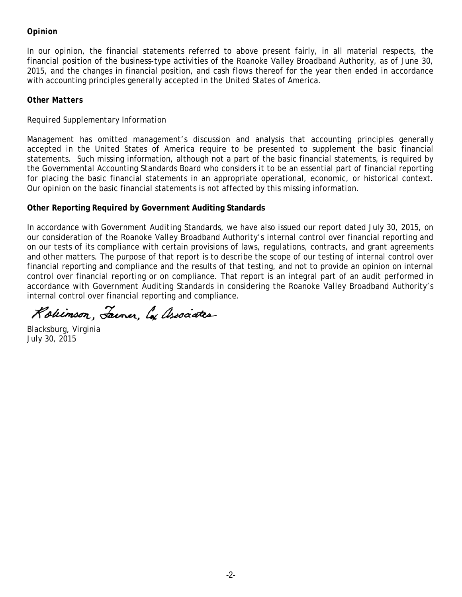# *Opinion*

In our opinion, the financial statements referred to above present fairly, in all material respects, the financial position of the business-type activities of the Roanoke Valley Broadband Authority, as of June 30, 2015, and the changes in financial position, and cash flows thereof for the year then ended in accordance with accounting principles generally accepted in the United States of America.

## *Other Matters*

# *Required Supplementary Information*

Management has omitted management's discussion and analysis that accounting principles generally accepted in the United States of America require to be presented to supplement the basic financial statements. Such missing information, although not a part of the basic financial statements, is required by the Governmental Accounting Standards Board who considers it to be an essential part of financial reporting for placing the basic financial statements in an appropriate operational, economic, or historical context. Our opinion on the basic financial statements is not affected by this missing information.

# **Other Reporting Required by Government Auditing Standards**

In accordance with *Government Auditing Standards*, we have also issued our report dated July 30, 2015, on our consideration of the Roanoke Valley Broadband Authority's internal control over financial reporting and on our tests of its compliance with certain provisions of laws, regulations, contracts, and grant agreements and other matters. The purpose of that report is to describe the scope of our testing of internal control over financial reporting and compliance and the results of that testing, and not to provide an opinion on internal control over financial reporting or on compliance. That report is an integral part of an audit performed in accordance with *Government Auditing Standards* in considering the Roanoke Valley Broadband Authority's internal control over financial reporting and compliance.

Koliimson, Farmer, ly Associates

Blacksburg, Virginia July 30, 2015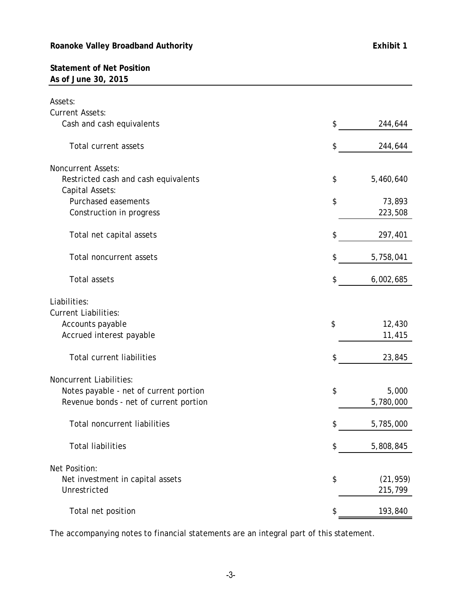# **Statement of Net Position As of June 30, 2015**

| Assets:                                |                 |
|----------------------------------------|-----------------|
| <b>Current Assets:</b>                 |                 |
| Cash and cash equivalents              | \$<br>244,644   |
| <b>Total current assets</b>            | \$<br>244,644   |
| <b>Noncurrent Assets:</b>              |                 |
| Restricted cash and cash equivalents   | \$<br>5,460,640 |
| Capital Assets:                        |                 |
| Purchased easements                    | \$<br>73,893    |
| Construction in progress               | 223,508         |
| Total net capital assets               | \$<br>297,401   |
| Total noncurrent assets                | \$<br>5,758,041 |
|                                        |                 |
| <b>Total assets</b>                    | \$<br>6,002,685 |
| Liabilities:                           |                 |
| <b>Current Liabilities:</b>            |                 |
| Accounts payable                       | \$<br>12,430    |
| Accrued interest payable               | 11,415          |
| <b>Total current liabilities</b>       | \$<br>23,845    |
| <b>Noncurrent Liabilities:</b>         |                 |
| Notes payable - net of current portion | \$<br>5,000     |
| Revenue bonds - net of current portion | 5,780,000       |
| <b>Total noncurrent liabilities</b>    | \$<br>5,785,000 |
| <b>Total liabilities</b>               | \$<br>5,808,845 |
| Net Position:                          |                 |
| Net investment in capital assets       | \$<br>(21, 959) |
| Unrestricted                           | 215,799         |
| Total net position                     | \$<br>193,840   |

The accompanying notes to financial statements are an integral part of this statement.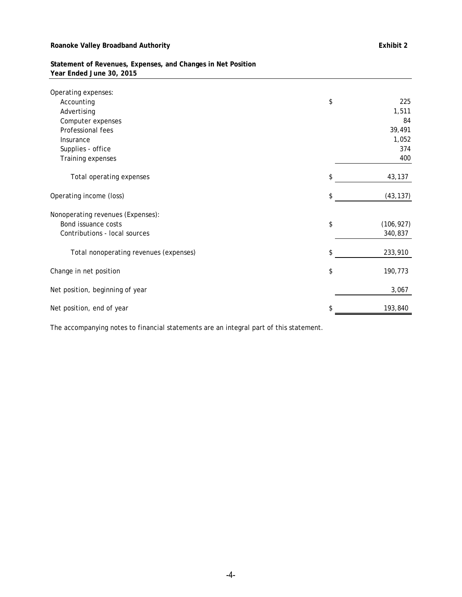## **Statement of Revenues, Expenses, and Changes in Net Position Year Ended June 30, 2015**

| Operating expenses:                    |     |            |
|----------------------------------------|-----|------------|
| Accounting                             | \$  | 225        |
| Advertising                            |     | 1,511      |
| Computer expenses                      |     | 84         |
| Professional fees                      |     | 39,491     |
| Insurance                              |     | 1,052      |
| Supplies - office                      |     | 374        |
| Training expenses                      |     | 400        |
| Total operating expenses               | \$  | 43,137     |
| Operating income (loss)                | \$  | (43, 137)  |
| Nonoperating revenues (Expenses):      |     |            |
| Bond issuance costs                    | \$  | (106, 927) |
| Contributions - local sources          |     | 340,837    |
| Total nonoperating revenues (expenses) | \$. | 233,910    |
| Change in net position                 | \$  | 190,773    |
| Net position, beginning of year        |     | 3,067      |
| Net position, end of year              |     | 193,840    |

The accompanying notes to financial statements are an integral part of this statement.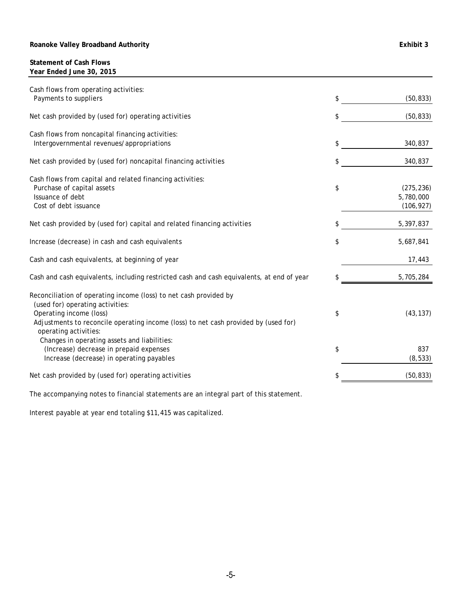#### **Roanoke Valley Broadband Authority Exhibit 3**

#### **Statement of Cash Flows Year Ended June 30, 2015**

| Cash flows from operating activities:<br>Payments to suppliers                                                                                                                                                                                   | (50, 833)                                   |
|--------------------------------------------------------------------------------------------------------------------------------------------------------------------------------------------------------------------------------------------------|---------------------------------------------|
| Net cash provided by (used for) operating activities                                                                                                                                                                                             | \$<br>(50, 833)                             |
| Cash flows from noncapital financing activities:                                                                                                                                                                                                 |                                             |
| Intergovernmental revenues/appropriations                                                                                                                                                                                                        | \$<br>340,837                               |
| Net cash provided by (used for) noncapital financing activities                                                                                                                                                                                  | \$<br>340,837                               |
| Cash flows from capital and related financing activities:<br>Purchase of capital assets<br>Issuance of debt<br>Cost of debt issuance                                                                                                             | \$<br>(275, 236)<br>5,780,000<br>(106, 927) |
| Net cash provided by (used for) capital and related financing activities                                                                                                                                                                         | \$<br>5,397,837                             |
| Increase (decrease) in cash and cash equivalents                                                                                                                                                                                                 | \$<br>5,687,841                             |
| Cash and cash equivalents, at beginning of year                                                                                                                                                                                                  | 17,443                                      |
| Cash and cash equivalents, including restricted cash and cash equivalents, at end of year                                                                                                                                                        | \$<br>5,705,284                             |
| Reconciliation of operating income (loss) to net cash provided by<br>(used for) operating activities:<br>Operating income (loss)<br>Adjustments to reconcile operating income (loss) to net cash provided by (used for)<br>operating activities: | \$<br>(43, 137)                             |
| Changes in operating assets and liabilities:<br>(Increase) decrease in prepaid expenses<br>Increase (decrease) in operating payables                                                                                                             | \$<br>837<br>(8, 533)                       |

Net cash provided by (used for) operating activities  $$$  (50,833)

The accompanying notes to financial statements are an integral part of this statement.

Interest payable at year end totaling \$11,415 was capitalized.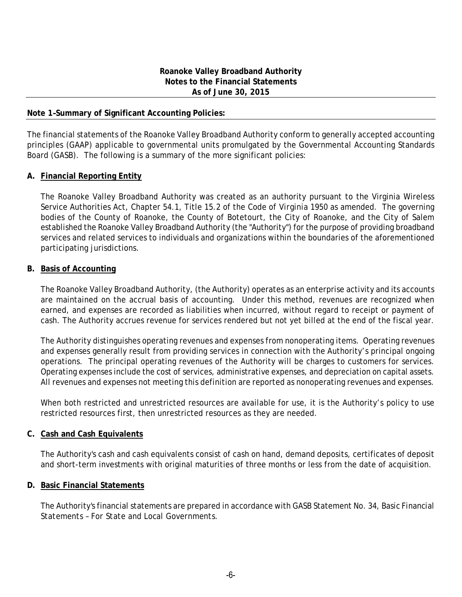## **Note 1–Summary of Significant Accounting Policies:**

The financial statements of the Roanoke Valley Broadband Authority conform to generally accepted accounting principles (GAAP) applicable to governmental units promulgated by the Governmental Accounting Standards Board (GASB). The following is a summary of the more significant policies:

# **A. Financial Reporting Entity**

The Roanoke Valley Broadband Authority was created as an authority pursuant to the Virginia Wireless Service Authorities Act, Chapter 54.1, Title 15.2 of the *Code of Virginia 1950 as amended.* The governing bodies of the County of Roanoke, the County of Botetourt, the City of Roanoke, and the City of Salem established the Roanoke Valley Broadband Authority (the "Authority") for the purpose of providing broadband services and related services to individuals and organizations within the boundaries of the aforementioned participating jurisdictions.

## **B. Basis of Accounting**

The Roanoke Valley Broadband Authority, (the Authority) operates as an enterprise activity and its accounts are maintained on the accrual basis of accounting. Under this method, revenues are recognized when earned, and expenses are recorded as liabilities when incurred, without regard to receipt or payment of cash. The Authority accrues revenue for services rendered but not yet billed at the end of the fiscal year.

The Authority distinguishes operating revenues and expenses from nonoperating items. Operating revenues and expenses generally result from providing services in connection with the Authority's principal ongoing operations. The principal operating revenues of the Authority will be charges to customers for services. Operating expenses include the cost of services, administrative expenses, and depreciation on capital assets. All revenues and expenses not meeting this definition are reported as nonoperating revenues and expenses.

When both restricted and unrestricted resources are available for use, it is the Authority's policy to use restricted resources first, then unrestricted resources as they are needed.

#### **C. Cash and Cash Equivalents**

The Authority's cash and cash equivalents consist of cash on hand, demand deposits, certificates of deposit and short-term investments with original maturities of three months or less from the date of acquisition.

#### **D. Basic Financial Statements**

The Authority's financial statements are prepared in accordance with GASB Statement No. 34, *Basic Financial Statements – For State and Local Governments.*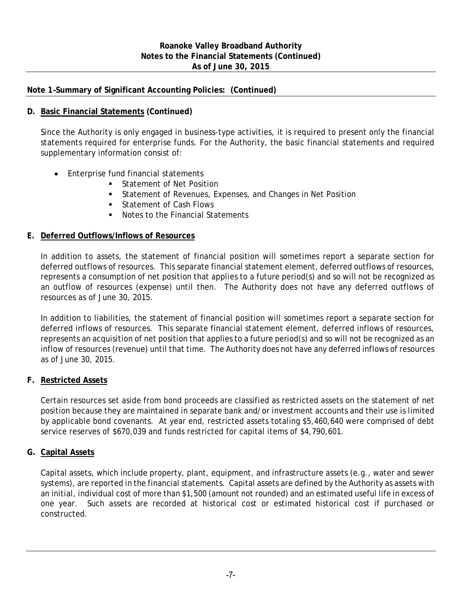# **Note 1–Summary of Significant Accounting Policies: (Continued)**

# **D. Basic Financial Statements (Continued)**

Since the Authority is only engaged in business-type activities, it is required to present only the financial statements required for enterprise funds. For the Authority, the basic financial statements and required supplementary information consist of:

- Enterprise fund financial statements
	- **Statement of Net Position**
	- **Statement of Revenues, Expenses, and Changes in Net Position**
	- **Statement of Cash Flows**
	- **Notes to the Financial Statements**

# **E. Deferred Outflows/Inflows of Resources**

In addition to assets, the statement of financial position will sometimes report a separate section for deferred outflows of resources. This separate financial statement element, deferred outflows of resources, represents a consumption of net position that applies to a future period(s) and so will not be recognized as an outflow of resources (expense) until then. The Authority does not have any deferred outflows of resources as of June 30, 2015.

In addition to liabilities, the statement of financial position will sometimes report a separate section for deferred inflows of resources. This separate financial statement element, deferred inflows of resources, represents an acquisition of net position that applies to a future period(s) and so will not be recognized as an inflow of resources (revenue) until that time. The Authority does not have any deferred inflows of resources as of June 30, 2015.

# **F. Restricted Assets**

Certain resources set aside from bond proceeds are classified as restricted assets on the statement of net position because they are maintained in separate bank and/or investment accounts and their use is limited by applicable bond covenants. At year end, restricted assets totaling \$5,460,640 were comprised of debt service reserves of \$670,039 and funds restricted for capital items of \$4,790,601.

# **G. Capital Assets**

Capital assets, which include property, plant, equipment, and infrastructure assets (e.g., water and sewer systems), are reported in the financial statements. Capital assets are defined by the Authority as assets with an initial, individual cost of more than \$1,500 (amount not rounded) and an estimated useful life in excess of one year. Such assets are recorded at historical cost or estimated historical cost if purchased or constructed.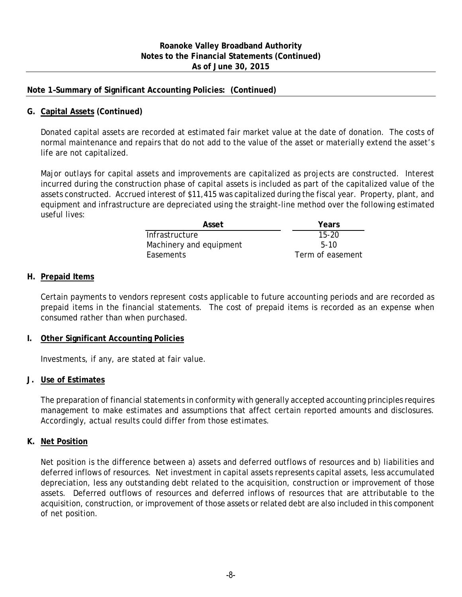# **Note 1–Summary of Significant Accounting Policies: (Continued)**

# **G. Capital Assets (Continued)**

Donated capital assets are recorded at estimated fair market value at the date of donation. The costs of normal maintenance and repairs that do not add to the value of the asset or materially extend the asset's life are not capitalized.

Major outlays for capital assets and improvements are capitalized as projects are constructed. Interest incurred during the construction phase of capital assets is included as part of the capitalized value of the assets constructed. Accrued interest of \$11,415 was capitalized during the fiscal year. Property, plant, and equipment and infrastructure are depreciated using the straight-line method over the following estimated useful lives:

| Asset                   | Years            |
|-------------------------|------------------|
| Infrastructure          | $15-20$          |
| Machinery and equipment | $5-10$           |
| Easements               | Term of easement |

## **H. Prepaid Items**

Certain payments to vendors represent costs applicable to future accounting periods and are recorded as prepaid items in the financial statements. The cost of prepaid items is recorded as an expense when consumed rather than when purchased.

#### **I. Other Significant Accounting Policies**

Investments, if any, are stated at fair value.

#### **J. Use of Estimates**

The preparation of financial statements in conformity with generally accepted accounting principles requires management to make estimates and assumptions that affect certain reported amounts and disclosures. Accordingly, actual results could differ from those estimates.

# **K. Net Position**

Net position is the difference between a) assets and deferred outflows of resources and b) liabilities and deferred inflows of resources. Net investment in capital assets represents capital assets, less accumulated depreciation, less any outstanding debt related to the acquisition, construction or improvement of those assets. Deferred outflows of resources and deferred inflows of resources that are attributable to the acquisition, construction, or improvement of those assets or related debt are also included in this component of net position.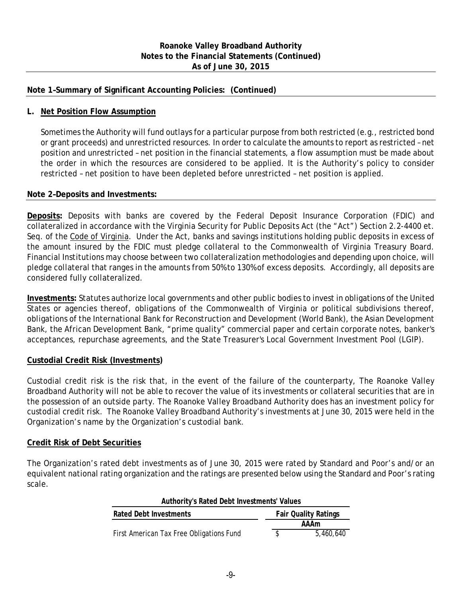# **Note 1–Summary of Significant Accounting Policies: (Continued)**

# **L. Net Position Flow Assumption**

Sometimes the Authority will fund outlays for a particular purpose from both restricted (e.g., restricted bond or grant proceeds) and unrestricted resources. In order to calculate the amounts to report as restricted – net position and unrestricted – net position in the financial statements, a flow assumption must be made about the order in which the resources are considered to be applied. It is the Authority's policy to consider restricted – net position to have been depleted before unrestricted – net position is applied.

## **Note 2–Deposits and Investments:**

**Deposits:** Deposits with banks are covered by the Federal Deposit Insurance Corporation (FDIC) and collateralized in accordance with the Virginia Security for Public Deposits Act (the "Act") Section 2.2-4400 et. Seq. of the Code of Virginia. Under the Act, banks and savings institutions holding public deposits in excess of the amount insured by the FDIC must pledge collateral to the Commonwealth of Virginia Treasury Board. Financial Institutions may choose between two collateralization methodologies and depending upon choice, will pledge collateral that ranges in the amounts from 50% to 130% of excess deposits. Accordingly, all deposits are considered fully collateralized.

**Investments:** Statutes authorize local governments and other public bodies to invest in obligations of the United States or agencies thereof, obligations of the Commonwealth of Virginia or political subdivisions thereof, obligations of the International Bank for Reconstruction and Development (World Bank), the Asian Development Bank, the African Development Bank, "prime quality" commercial paper and certain corporate notes, banker's acceptances, repurchase agreements, and the State Treasurer's Local Government Investment Pool (LGIP).

# **Custodial Credit Risk (Investments)**

Custodial credit risk is the risk that, in the event of the failure of the counterparty, The Roanoke Valley Broadband Authority will not be able to recover the value of its investments or collateral securities that are in the possession of an outside party. The Roanoke Valley Broadband Authority does has an investment policy for custodial credit risk. The Roanoke Valley Broadband Authority's investments at June 30, 2015 were held in the Organization's name by the Organization's custodial bank.

#### **Credit Risk of Debt Securities**

The Organization's rated debt investments as of June 30, 2015 were rated by Standard and Poor's and/or an equivalent national rating organization and the ratings are presented below using the Standard and Poor's rating scale.

| Authority's Rated Debt Investments' Values            |      |           |  |  |  |  |
|-------------------------------------------------------|------|-----------|--|--|--|--|
| <b>Fair Quality Ratings</b><br>Rated Debt Investments |      |           |  |  |  |  |
|                                                       | AAAm |           |  |  |  |  |
| First American Tax Free Obligations Fund              |      | 5,460,640 |  |  |  |  |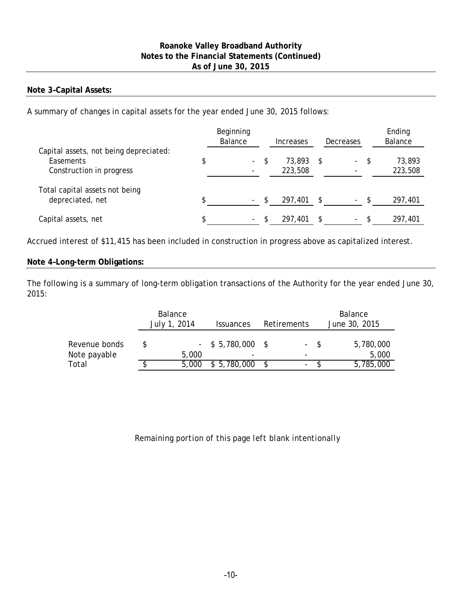## **Note 3–Capital Assets:**

A summary of changes in capital assets for the year ended June 30, 2015 follows:

|                                                                                 | Beginning<br>Balance   |   | Increases         |     | Decreases      |     | Ending<br>Balance |
|---------------------------------------------------------------------------------|------------------------|---|-------------------|-----|----------------|-----|-------------------|
| Capital assets, not being depreciated:<br>Easements<br>Construction in progress | \$<br>$\sim$           | S | 73,893<br>223,508 | S   | $\blacksquare$ | -S  | 73,893<br>223,508 |
| Total capital assets not being<br>depreciated, net                              | $\sim$                 |   | 297,401           | -\$ | $\blacksquare$ | -S  | 297,401           |
| Capital assets, net                                                             | \$<br>$\sim$ 100 $\mu$ |   | 297,401           | -\$ | $\blacksquare$ | -\$ | 297,401           |

Accrued interest of \$11,415 has been included in construction in progress above as capitalized interest.

# **Note 4–Long-term Obligations:**

The following is a summary of long-term obligation transactions of the Authority for the year ended June 30, 2015:

|               | Balance |              |                  |  |                          |  | Balance       |
|---------------|---------|--------------|------------------|--|--------------------------|--|---------------|
|               |         | July 1, 2014 | <b>Issuances</b> |  | Retirements              |  | June 30, 2015 |
|               |         |              |                  |  |                          |  |               |
| Revenue bonds | \$.     |              | $-$ \$ 5,780,000 |  | $- S$                    |  | 5,780,000     |
| Note payable  |         | 5,000        | ۰                |  | $\overline{\phantom{a}}$ |  | 5,000         |
| Total         |         | 5,000        | \$5,780,000      |  | ۰                        |  | 5,785,000     |

*Remaining portion of this page left blank intentionally*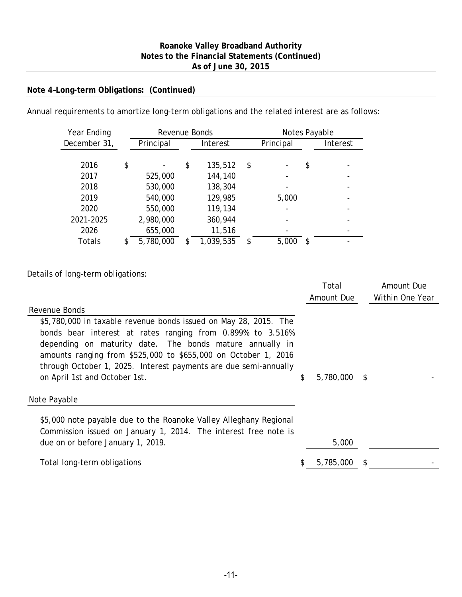# **Note 4–Long-term Obligations: (Continued)**

Annual requirements to amortize long-term obligations and the related interest are as follows:

| Year Ending  |                 | Revenue Bonds<br>Notes Payable |           |           |       |          |  |
|--------------|-----------------|--------------------------------|-----------|-----------|-------|----------|--|
| December 31, | Principal       |                                | Interest  | Principal |       | Interest |  |
|              |                 |                                |           |           |       |          |  |
| 2016         | \$              | \$                             | 135,512   | \$        |       | \$       |  |
| 2017         | 525,000         |                                | 144,140   |           |       |          |  |
| 2018         | 530,000         |                                | 138,304   |           |       |          |  |
| 2019         | 540,000         |                                | 129,985   |           | 5,000 |          |  |
| 2020         | 550,000         |                                | 119,134   |           |       |          |  |
| 2021-2025    | 2,980,000       |                                | 360,944   |           |       |          |  |
| 2026         | 655,000         |                                | 11,516    |           |       |          |  |
| Totals       | \$<br>5,780,000 |                                | 1,039,535 | \$        | 5,000 | \$       |  |

Details of long-term obligations:

|                                                                   | Total           |     | Amount Due      |
|-------------------------------------------------------------------|-----------------|-----|-----------------|
|                                                                   | Amount Due      |     | Within One Year |
| Revenue Bonds                                                     |                 |     |                 |
| \$5,780,000 in taxable revenue bonds issued on May 28, 2015. The  |                 |     |                 |
| bonds bear interest at rates ranging from 0.899% to 3.516%        |                 |     |                 |
| depending on maturity date. The bonds mature annually in          |                 |     |                 |
| amounts ranging from \$525,000 to \$655,000 on October 1, 2016    |                 |     |                 |
| through October 1, 2025. Interest payments are due semi-annually  |                 |     |                 |
| on April 1st and October 1st.                                     | \$<br>5,780,000 | -\$ |                 |
| Note Payable                                                      |                 |     |                 |
|                                                                   |                 |     |                 |
| \$5,000 note payable due to the Roanoke Valley Alleghany Regional |                 |     |                 |
| Commission issued on January 1, 2014. The interest free note is   |                 |     |                 |
| due on or before January 1, 2019.                                 | 5,000           |     |                 |
| Total long-term obligations                                       | 5,785,000       | S   |                 |
|                                                                   |                 |     |                 |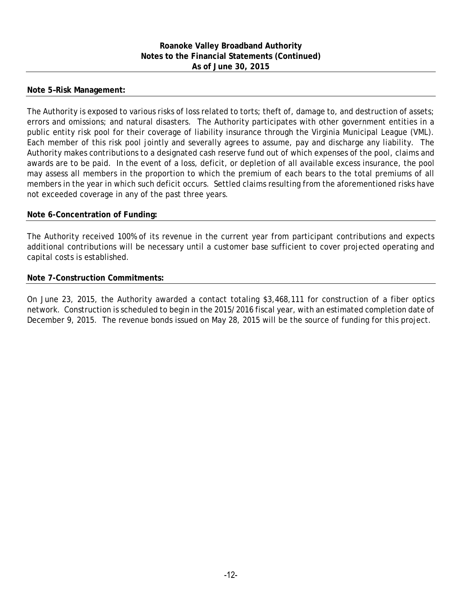## **Note 5–Risk Management:**

The Authority is exposed to various risks of loss related to torts; theft of, damage to, and destruction of assets; errors and omissions; and natural disasters. The Authority participates with other government entities in a public entity risk pool for their coverage of liability insurance through the Virginia Municipal League (VML). Each member of this risk pool jointly and severally agrees to assume, pay and discharge any liability. The Authority makes contributions to a designated cash reserve fund out of which expenses of the pool, claims and awards are to be paid. In the event of a loss, deficit, or depletion of all available excess insurance, the pool may assess all members in the proportion to which the premium of each bears to the total premiums of all members in the year in which such deficit occurs. Settled claims resulting from the aforementioned risks have not exceeded coverage in any of the past three years.

## **Note 6-Concentration of Funding:**

The Authority received 100% of its revenue in the current year from participant contributions and expects additional contributions will be necessary until a customer base sufficient to cover projected operating and capital costs is established.

## **Note 7-Construction Commitments:**

On June 23, 2015, the Authority awarded a contact totaling \$3,468,111 for construction of a fiber optics network. Construction is scheduled to begin in the 2015/2016 fiscal year, with an estimated completion date of December 9, 2015. The revenue bonds issued on May 28, 2015 will be the source of funding for this project.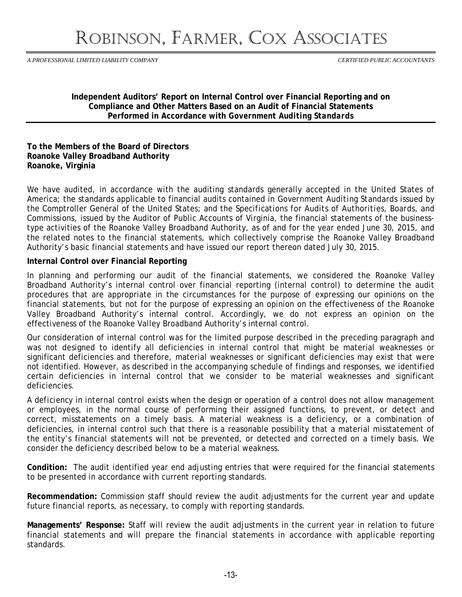*A PROFESSIONAL LIMITED LIABILITY COMPANY CERTIFIED PUBLIC ACCOUNTANTS* 

## **Independent Auditors' Report on Internal Control over Financial Reporting and on Compliance and Other Matters Based on an Audit of Financial Statements Performed in Accordance with** *Government Auditing Standards*

## **To the Members of the Board of Directors Roanoke Valley Broadband Authority Roanoke, Virginia**

We have audited, in accordance with the auditing standards generally accepted in the United States of America; the standards applicable to financial audits contained in *Government Auditing Standards* issued by the Comptroller General of the United States; and the *Specifications for Audits of Authorities, Boards, and Commissions*, issued by the Auditor of Public Accounts of Virginia, the financial statements of the businesstype activities of the Roanoke Valley Broadband Authority, as of and for the year ended June 30, 2015, and the related notes to the financial statements, which collectively comprise the Roanoke Valley Broadband Authority's basic financial statements and have issued our report thereon dated July 30, 2015.

# **Internal Control over Financial Reporting**

In planning and performing our audit of the financial statements, we considered the Roanoke Valley Broadband Authority's internal control over financial reporting (internal control) to determine the audit procedures that are appropriate in the circumstances for the purpose of expressing our opinions on the financial statements, but not for the purpose of expressing an opinion on the effectiveness of the Roanoke Valley Broadband Authority's internal control. Accordingly, we do not express an opinion on the effectiveness of the Roanoke Valley Broadband Authority's internal control.

Our consideration of internal control was for the limited purpose described in the preceding paragraph and was not designed to identify all deficiencies in internal control that might be material weaknesses or significant deficiencies and therefore, material weaknesses or significant deficiencies may exist that were not identified. However, as described in the accompanying schedule of findings and responses, we identified certain deficiencies in internal control that we consider to be material weaknesses and significant deficiencies.

A *deficiency in internal control* exists when the design or operation of a control does not allow management or employees, in the normal course of performing their assigned functions, to prevent, or detect and correct, misstatements on a timely basis. A *material weakness* is a deficiency, or a combination of deficiencies, in internal control such that there is a reasonable possibility that a material misstatement of the entity's financial statements will not be prevented, or detected and corrected on a timely basis. We consider the deficiency described below to be a material weakness.

**Condition:** The audit identified year end adjusting entries that were required for the financial statements to be presented in accordance with current reporting standards.

**Recommendation:** Commission staff should review the audit adjustments for the current year and update future financial reports, as necessary, to comply with reporting standards.

**Managements' Response:** Staff will review the audit adjustments in the current year in relation to future financial statements and will prepare the financial statements in accordance with applicable reporting standards.